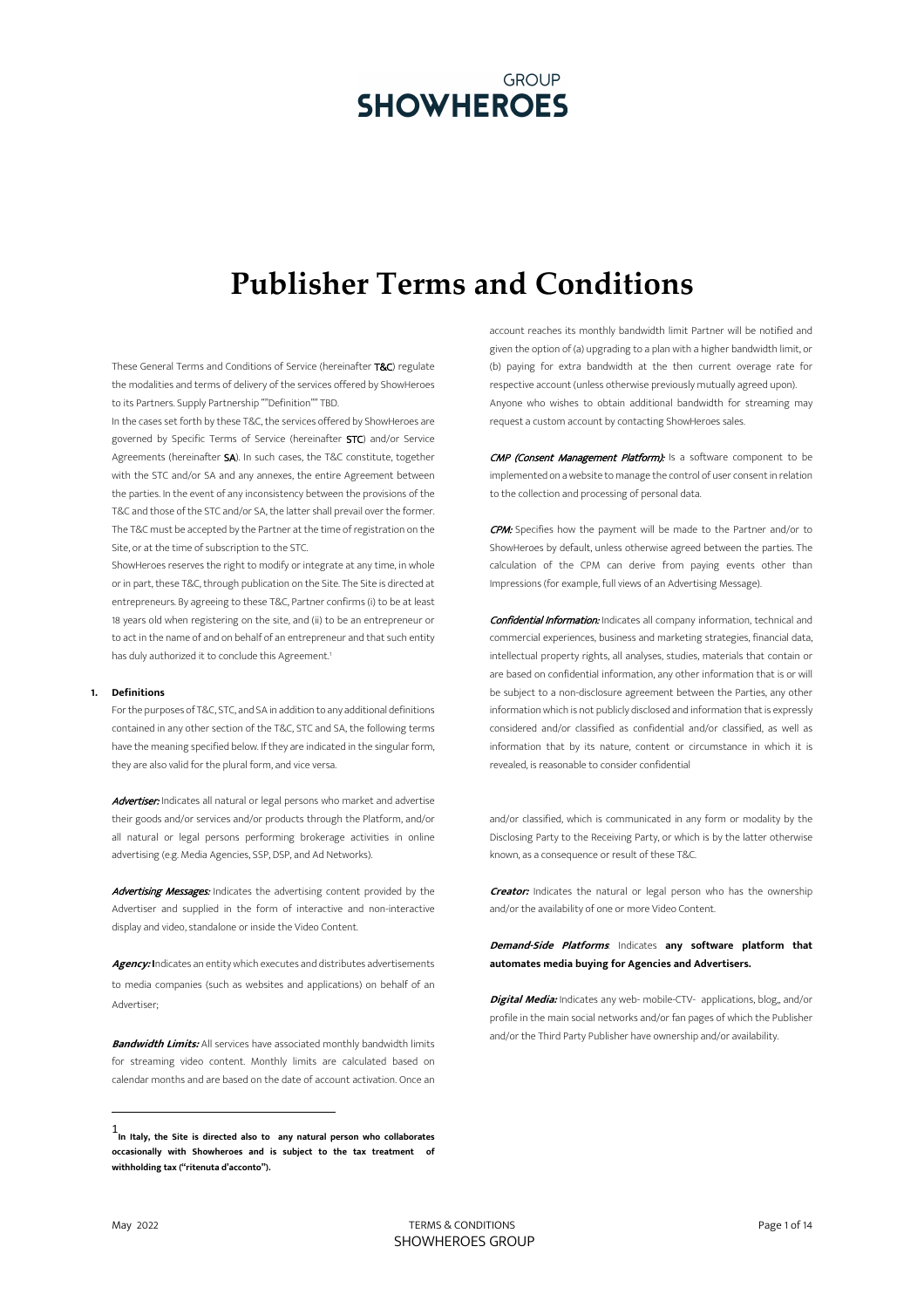# **Publisher Terms and Conditions**

These General Terms and Conditions of Service (hereinafter T&C) regulate the modalities and terms of delivery of the services offered by ShowHeroes to its Partners. Supply Partnership ""Definition"" TBD.

In the cases set forth by these T&C, the services offered by ShowHeroes are governed by Specific Terms of Service (hereinafter STC) and/or Service Agreements (hereinafter SA). In such cases, the T&C constitute, together with the STC and/or SA and any annexes, the entire Agreement between the parties. In the event of any inconsistency between the provisions of the T&C and those of the STC and/or SA, the latter shall prevail over the former. The T&C must be accepted by the Partner at the time of registration on the Site, or at the time of subscription to the STC.

ShowHeroes reserves the right to modify or integrate at any time, in whole or in part, these T&C, through publication on the Site. The Site is directed at entrepreneurs. By agreeing to these T&C, Partner confirms (i) to be at least 18 years old when registering on the site, and (ii) to be an entrepreneur or to act in the name of and on behalf of an entrepreneur and that such entity has duly authorized it to conclude this Agreement.<sup>1</sup>

#### **1. Definitions**

For the purposes of T&C, STC, and SA in addition to any additional definitions contained in any other section of the T&C, STC and SA, the following terms have the meaning specified below. If they are indicated in the singular form, they are also valid for the plural form, and vice versa.

Advertiser: Indicates all natural or legal persons who market and advertise their goods and/or services and/or products through the Platform, and/or all natural or legal persons performing brokerage activities in online advertising (e.g. Media Agencies, SSP, DSP, and Ad Networks).

Advertising Messages: Indicates the advertising content provided by the Advertiser and supplied in the form of interactive and non-interactive display and video, standalone or inside the Video Content.

**Agency: I**ndicates an entity which executes and distributes advertisements to media companies (such as websites and applications) on behalf of an Advertiser;

**Bandwidth Limits:** All services have associated monthly bandwidth limits for streaming video content. Monthly limits are calculated based on calendar months and are based on the date of account activation. Once an

account reaches its monthly bandwidth limit Partner will be notified and given the option of (a) upgrading to a plan with a higher bandwidth limit, or (b) paying for extra bandwidth at the then current overage rate for respective account (unless otherwise previously mutually agreed upon). Anyone who wishes to obtain additional bandwidth for streaming may request a custom account by contacting ShowHeroes sales.

CMP (Consent Management Platform): Is a software component to be implemented on a website to manage the control of user consent in relation to the collection and processing of personal data.

CPM: Specifies how the payment will be made to the Partner and/or to ShowHeroes by default, unless otherwise agreed between the parties. The calculation of the CPM can derive from paying events other than Impressions (for example, full views of an Advertising Message).

**Confidential Information:** Indicates all company information, technical and commercial experiences, business and marketing strategies, financial data, intellectual property rights, all analyses, studies, materials that contain or are based on confidential information, any other information that is or will be subject to a non-disclosure agreement between the Parties, any other information which is not publicly disclosed and information that is expressly considered and/or classified as confidential and/or classified, as well as information that by its nature, content or circumstance in which it is revealed, is reasonable to consider confidential

and/or classified, which is communicated in any form or modality by the Disclosing Party to the Receiving Party, or which is by the latter otherwise known, as a consequence or result of these T&C.

**Creator:** Indicates the natural or legal person who has the ownership and/or the availability of one or more Video Content.

**Demand-Side Platforms**: Indicates **any software platform that automates media buying for Agencies and Advertisers.**

**Digital Media:** Indicates any web- mobile-CTV- applications, blog,, and/or profile in the main social networks and/or fan pages of which the Publisher and/or the Third Party Publisher have ownership and/or availability.

<sup>1</sup>**In Italy, the Site is directed also to any natural person who collaborates occasionally with Showheroes and is subject to the tax treatment of withholding tax ("ritenuta d'acconto").**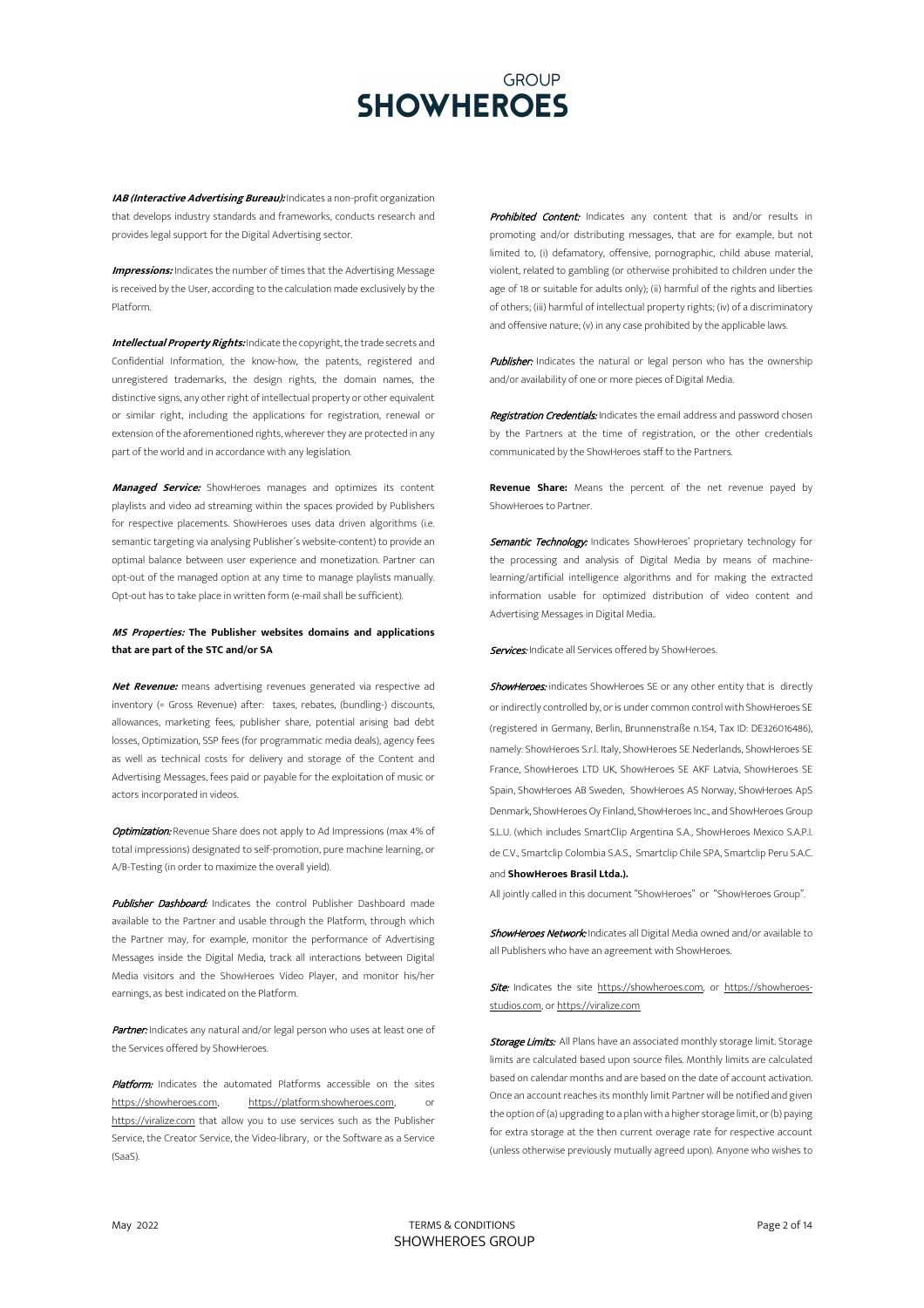**IAB (Interactive Advertising Bureau):** Indicates a non-profit organization that develops industry standards and frameworks, conducts research and provides legal support for the Digital Advertising sector.

**Impressions:** Indicates the number of times that the Advertising Message is received by the User, according to the calculation made exclusively by the Platform.

**Intellectual Property Rights:** Indicate the copyright, the trade secrets and Confidential Information, the know-how, the patents, registered and unregistered trademarks, the design rights, the domain names, the distinctive signs, any other right of intellectual property or other equivalent or similar right, including the applications for registration, renewal or extension of the aforementioned rights, wherever they are protected in any part of the world and in accordance with any legislation.

**Managed Service:** ShowHeroes manages and optimizes its content playlists and video ad streaming within the spaces provided by Publishers for respective placements. ShowHeroes uses data driven algorithms (i.e. semantic targeting via analysing Publisher´s website-content) to provide an optimal balance between user experience and monetization. Partner can opt-out of the managed option at any time to manage playlists manually. Opt-out has to take place in written form (e-mail shall be sufficient).

## **MS Properties: The Publisher websites domains and applications that are part of the STC and/or SA**

**Net Revenue:** means advertising revenues generated via respective ad inventory (= Gross Revenue) after: taxes, rebates, (bundling-) discounts, allowances, marketing fees, publisher share, potential arising bad debt losses, Optimization, SSP fees (for programmatic media deals), agency fees as well as technical costs for delivery and storage of the Content and Advertising Messages, fees paid or payable for the exploitation of music or actors incorporated in videos.

Optimization: Revenue Share does not apply to Ad Impressions (max 4% of total impressions) designated to self-promotion, pure machine learning, or A/B-Testing (in order to maximize the overall yield).

Publisher Dashboard: Indicates the control Publisher Dashboard made available to the Partner and usable through the Platform, through which the Partner may, for example, monitor the performance of Advertising Messages inside the Digital Media, track all interactions between Digital Media visitors and the ShowHeroes Video Player, and monitor his/her earnings, as best indicated on the Platform.

Partner: Indicates any natural and/or legal person who uses at least one of the Services offered by ShowHeroes.

Platform: Indicates the automated Platforms accessible on the sites https://showheroes.com, https://platform.showheroes.com, or https://viralize.com that allow you to use services such as the Publisher Service, the Creator Service, the Video-library, or the Software as a Service (SaaS).

Prohibited Content: Indicates any content that is and/or results in promoting and/or distributing messages, that are for example, but not limited to, (i) defamatory, offensive, pornographic, child abuse material, violent, related to gambling (or otherwise prohibited to children under the age of 18 or suitable for adults only); (ii) harmful of the rights and liberties of others; (iii) harmful of intellectual property rights; (iv) of a discriminatory and offensive nature; (v) in any case prohibited by the applicable laws.

Publisher: Indicates the natural or legal person who has the ownership and/or availability of one or more pieces of Digital Media.

Registration Credentials: Indicates the email address and password chosen by the Partners at the time of registration, or the other credentials communicated by the ShowHeroes staff to the Partners.

**Revenue Share:** Means the percent of the net revenue payed by ShowHeroes to Partner.

Semantic Technology: Indicates ShowHeroes' proprietary technology for the processing and analysis of Digital Media by means of machinelearning/artificial intelligence algorithms and for making the extracted information usable for optimized distribution of video content and Advertising Messages in Digital Media..

Services: Indicate all Services offered by ShowHeroes.

ShowHeroes: indicates ShowHeroes SE or any other entity that is directly or indirectly controlled by, or is under common control with ShowHeroes SE (registered in Germany, Berlin, Brunnenstraße n.154, Tax ID: DE326016486), namely: ShowHeroes S.r.l. Italy, ShowHeroes SE Nederlands, ShowHeroes SE France, ShowHeroes LTD UK, ShowHeroes SE AKF Latvia, ShowHeroes SE Spain, ShowHeroes AB Sweden, ShowHeroes AS Norway, ShowHeroes ApS Denmark, ShowHeroes Oy Finland, ShowHeroes Inc., and ShowHeroes Group S.L.U. (which includes SmartClip Argentina S.A., ShowHeroes Mexico S.A.P.I. de C.V., Smartclip Colombia S.A.S., Smartclip Chile SPA, Smartclip Peru S.A.C. and **ShowHeroes Brasil Ltda.).**

All jointly called in this document "ShowHeroes" or "ShowHeroes Group".

ShowHeroes Network: Indicates all Digital Media owned and/or available to all Publishers who have an agreement with ShowHeroes.

Site: Indicates the site https://showheroes.com, or https://showheroesstudios.com, or https://viralize.com

Storage Limits: All Plans have an associated monthly storage limit. Storage limits are calculated based upon source files. Monthly limits are calculated based on calendar months and are based on the date of account activation. Once an account reaches its monthly limit Partner will be notified and given the option of (a) upgrading to a plan with a higher storage limit, or (b) paying for extra storage at the then current overage rate for respective account (unless otherwise previously mutually agreed upon). Anyone who wishes to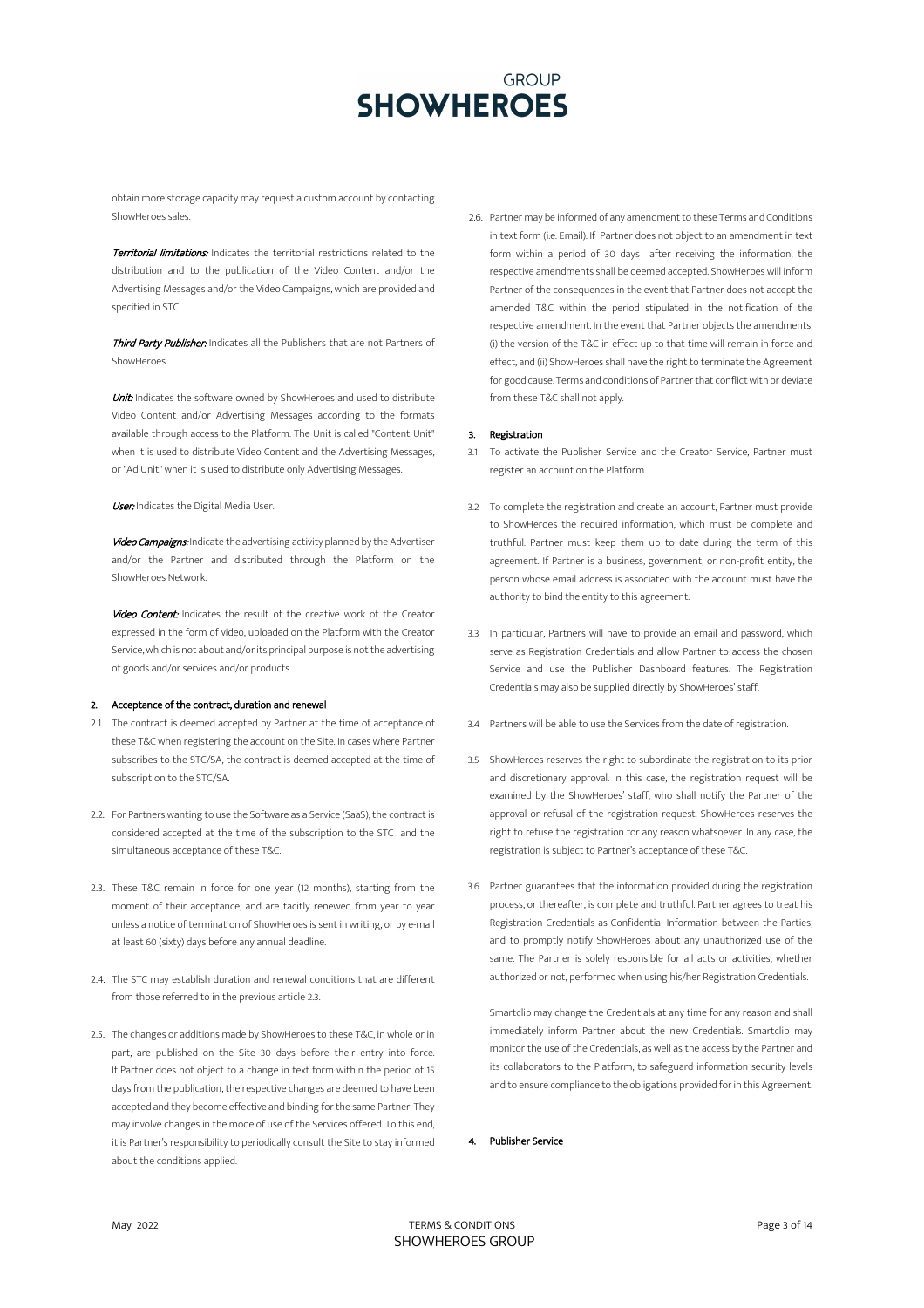obtain more storage capacity may request a custom account by contacting ShowHeroes sales.

Territorial limitations: Indicates the territorial restrictions related to the distribution and to the publication of the Video Content and/or the Advertising Messages and/or the Video Campaigns, which are provided and specified in STC.

Third Party Publisher: Indicates all the Publishers that are not Partners of ShowHeroes.

Unit: Indicates the software owned by ShowHeroes and used to distribute Video Content and/or Advertising Messages according to the formats available through access to the Platform. The Unit is called "Content Unit" when it is used to distribute Video Content and the Advertising Messages, or "Ad Unit" when it is used to distribute only Advertising Messages.

User: Indicates the Digital Media User.

Video Campaigns: Indicate the advertising activity planned by the Advertiser and/or the Partner and distributed through the Platform on the ShowHeroes Network.

Video Content: Indicates the result of the creative work of the Creator expressed in the form of video, uploaded on the Platform with the Creator Service, which is not about and/or its principal purpose is not the advertising of goods and/or services and/or products.

### 2. Acceptance of the contract, duration and renewal

- 2.1. The contract is deemed accepted by Partner at the time of acceptance of these T&C when registering the account on the Site. In cases where Partner subscribes to the STC/SA, the contract is deemed accepted at the time of subscription to the STC/SA.
- 2.2. For Partners wanting to use the Software as a Service (SaaS), the contract is considered accepted at the time of the subscription to the STC and the simultaneous acceptance of these T&C.
- 2.3. These T&C remain in force for one year (12 months), starting from the moment of their acceptance, and are tacitly renewed from year to year unless a notice of termination of ShowHeroes is sent in writing, or by e-mail at least 60 (sixty) days before any annual deadline.
- 2.4. The STC may establish duration and renewal conditions that are different from those referred to in the previous article 2.3.
- 2.5. The changes or additions made by ShowHeroes to these T&C, in whole or in part, are published on the Site 30 days before their entry into force. If Partner does not object to a change in text form within the period of 15 days from the publication, the respective changes are deemed to have been accepted and they become effective and binding for the same Partner. They may involve changes in the mode of use of the Services offered. To this end, it is Partner's responsibility to periodically consult the Site to stay informed about the conditions applied.

2.6. Partner may be informed of any amendment to these Terms and Conditions in text form (i.e. Email). If Partner does not object to an amendment in text form within a period of 30 days after receiving the information, the respective amendments shall be deemed accepted. ShowHeroes will inform Partner of the consequences in the event that Partner does not accept the amended T&C within the period stipulated in the notification of the respective amendment. In the event that Partner objects the amendments, (i) the version of the T&C in effect up to that time will remain in force and effect, and (ii) ShowHeroes shall have the right to terminate the Agreement for good cause. Terms and conditions of Partner that conflict with or deviate from these T&C shall not apply.

## 3. Registration

- 3.1 To activate the Publisher Service and the Creator Service, Partner must register an account on the Platform.
- 3.2 To complete the registration and create an account, Partner must provide to ShowHeroes the required information, which must be complete and truthful. Partner must keep them up to date during the term of this agreement. If Partner is a business, government, or non-profit entity, the person whose email address is associated with the account must have the authority to bind the entity to this agreement.
- 3.3 In particular, Partners will have to provide an email and password, which serve as Registration Credentials and allow Partner to access the chosen Service and use the Publisher Dashboard features. The Registration Credentials may also be supplied directly by ShowHeroes' staff.
- 3.4 Partners will be able to use the Services from the date of registration.
- 3.5 ShowHeroes reserves the right to subordinate the registration to its prior and discretionary approval. In this case, the registration request will be examined by the ShowHeroes' staff, who shall notify the Partner of the approval or refusal of the registration request. ShowHeroes reserves the right to refuse the registration for any reason whatsoever. In any case, the registration is subject to Partner's acceptance of these T&C.
- 3.6 Partner guarantees that the information provided during the registration process, or thereafter, is complete and truthful. Partner agrees to treat his Registration Credentials as Confidential Information between the Parties, and to promptly notify ShowHeroes about any unauthorized use of the same. The Partner is solely responsible for all acts or activities, whether authorized or not, performed when using his/her Registration Credentials.

Smartclip may change the Credentials at any time for any reason and shall immediately inform Partner about the new Credentials. Smartclip may monitor the use of the Credentials, as well as the access by the Partner and its collaborators to the Platform, to safeguard information security levels and to ensure compliance to the obligations provided for in this Agreement.

4. Publisher Service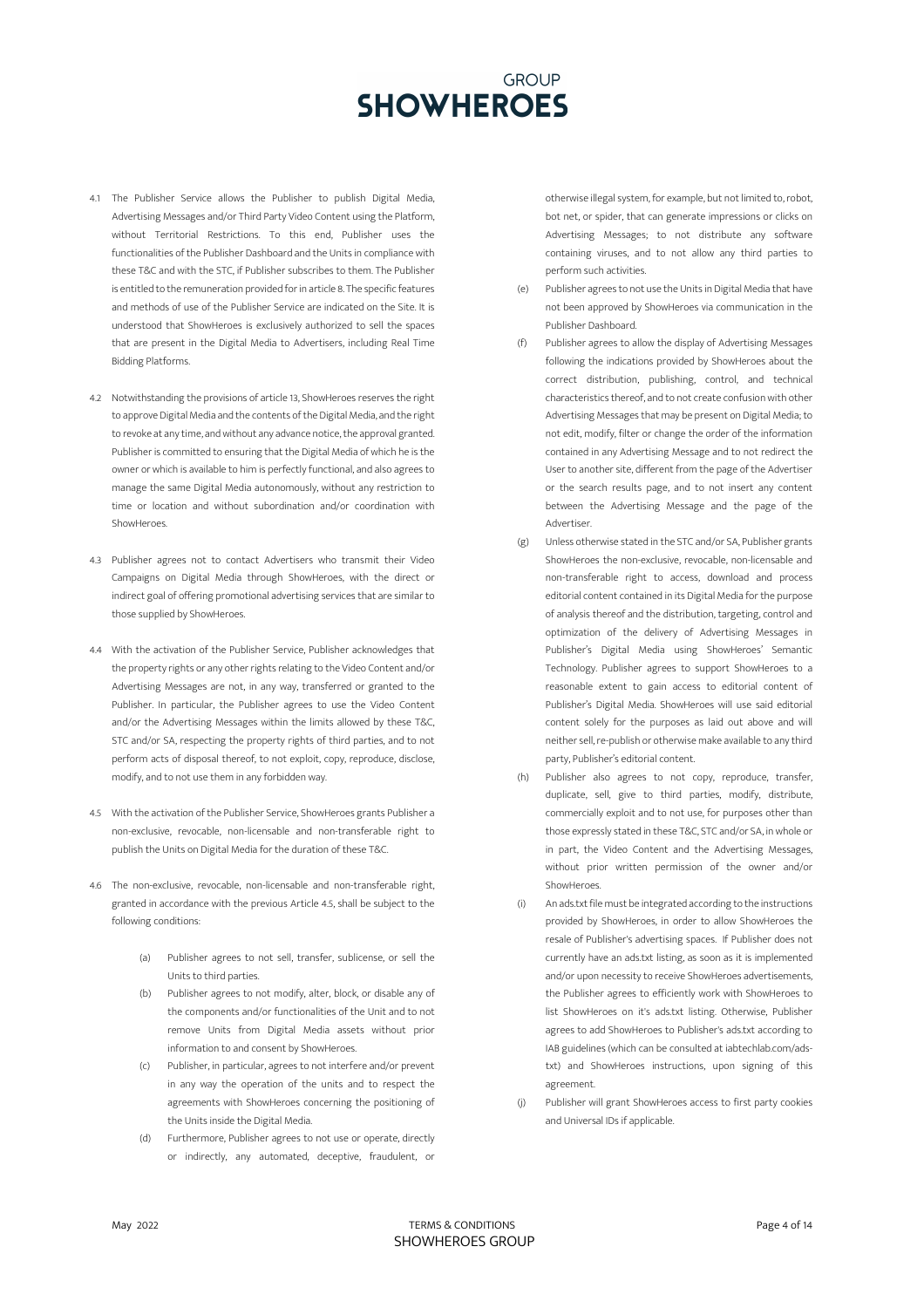- 4.1 The Publisher Service allows the Publisher to publish Digital Media, Advertising Messages and/or Third Party Video Content using the Platform, without Territorial Restrictions. To this end, Publisher uses the functionalities of the Publisher Dashboard and the Units in compliance with these T&C and with the STC, if Publisher subscribes to them. The Publisher is entitled to the remuneration provided for in article 8. The specific features and methods of use of the Publisher Service are indicated on the Site. It is understood that ShowHeroes is exclusively authorized to sell the spaces that are present in the Digital Media to Advertisers, including Real Time Bidding Platforms.
- 4.2 Notwithstanding the provisions of article 13, ShowHeroes reserves the right to approve Digital Media and the contents of the Digital Media, and the right to revoke at any time, and without any advance notice, the approval granted. Publisher is committed to ensuring that the Digital Media of which he is the owner or which is available to him is perfectly functional, and also agrees to manage the same Digital Media autonomously, without any restriction to time or location and without subordination and/or coordination with ShowHeroes.
- 4.3 Publisher agrees not to contact Advertisers who transmit their Video Campaigns on Digital Media through ShowHeroes, with the direct or indirect goal of offering promotional advertising services that are similar to those supplied by ShowHeroes.
- 4.4 With the activation of the Publisher Service, Publisher acknowledges that the property rights or any other rights relating to the Video Content and/or Advertising Messages are not, in any way, transferred or granted to the Publisher. In particular, the Publisher agrees to use the Video Content and/or the Advertising Messages within the limits allowed by these T&C, STC and/or SA, respecting the property rights of third parties, and to not perform acts of disposal thereof, to not exploit, copy, reproduce, disclose, modify, and to not use them in any forbidden way.
- 4.5 With the activation of the Publisher Service, ShowHeroes grants Publisher a non-exclusive, revocable, non-licensable and non-transferable right to publish the Units on Digital Media for the duration of these T&C.
- 4.6 The non-exclusive, revocable, non-licensable and non-transferable right, granted in accordance with the previous Article 4.5, shall be subject to the following conditions:
	- (a) Publisher agrees to not sell, transfer, sublicense, or sell the Units to third parties.
	- (b) Publisher agrees to not modify, alter, block, or disable any of the components and/or functionalities of the Unit and to not remove Units from Digital Media assets without prior information to and consent by ShowHeroes.
	- (c) Publisher, in particular, agrees to not interfere and/or prevent in any way the operation of the units and to respect the agreements with ShowHeroes concerning the positioning of the Units inside the Digital Media.
	- (d) Furthermore, Publisher agrees to not use or operate, directly or indirectly, any automated, deceptive, fraudulent, or

otherwise illegal system, for example, but not limited to, robot, bot net, or spider, that can generate impressions or clicks on Advertising Messages; to not distribute any software containing viruses, and to not allow any third parties to perform such activities.

- (e) Publisher agrees to not use the Units in Digital Media that have not been approved by ShowHeroes via communication in the Publisher Dashboard.
- (f) Publisher agrees to allow the display of Advertising Messages following the indications provided by ShowHeroes about the correct distribution, publishing, control, and technical characteristics thereof, and to not create confusion with other Advertising Messages that may be present on Digital Media; to not edit, modify, filter or change the order of the information contained in any Advertising Message and to not redirect the User to another site, different from the page of the Advertiser or the search results page, and to not insert any content between the Advertising Message and the page of the Advertiser.
- (g) Unless otherwise stated in the STC and/or SA, Publisher grants ShowHeroes the non-exclusive, revocable, non-licensable and non-transferable right to access, download and process editorial content contained in its Digital Media for the purpose of analysis thereof and the distribution, targeting, control and optimization of the delivery of Advertising Messages in Publisher's Digital Media using ShowHeroes' Semantic Technology. Publisher agrees to support ShowHeroes to a reasonable extent to gain access to editorial content of Publisher's Digital Media. ShowHeroes will use said editorial content solely for the purposes as laid out above and will neither sell, re-publish or otherwise make available to any third party, Publisher's editorial content.
- (h) Publisher also agrees to not copy, reproduce, transfer, duplicate, sell, give to third parties, modify, distribute, commercially exploit and to not use, for purposes other than those expressly stated in these T&C, STC and/or SA, in whole or in part, the Video Content and the Advertising Messages, without prior written permission of the owner and/or ShowHeroes.
- (i) An ads.txt file must be integrated according to the instructions provided by ShowHeroes, in order to allow ShowHeroes the resale of Publisher's advertising spaces. If Publisher does not currently have an ads.txt listing, as soon as it is implemented and/or upon necessity to receive ShowHeroes advertisements, the Publisher agrees to efficiently work with ShowHeroes to list ShowHeroes on it's ads.txt listing. Otherwise, Publisher agrees to add ShowHeroes to Publisher's ads.txt according to IAB guidelines (which can be consulted at iabtechlab.com/adstxt) and ShowHeroes instructions, upon signing of this agreement.
- (j) Publisher will grant ShowHeroes access to first party cookies and Universal IDs if applicable.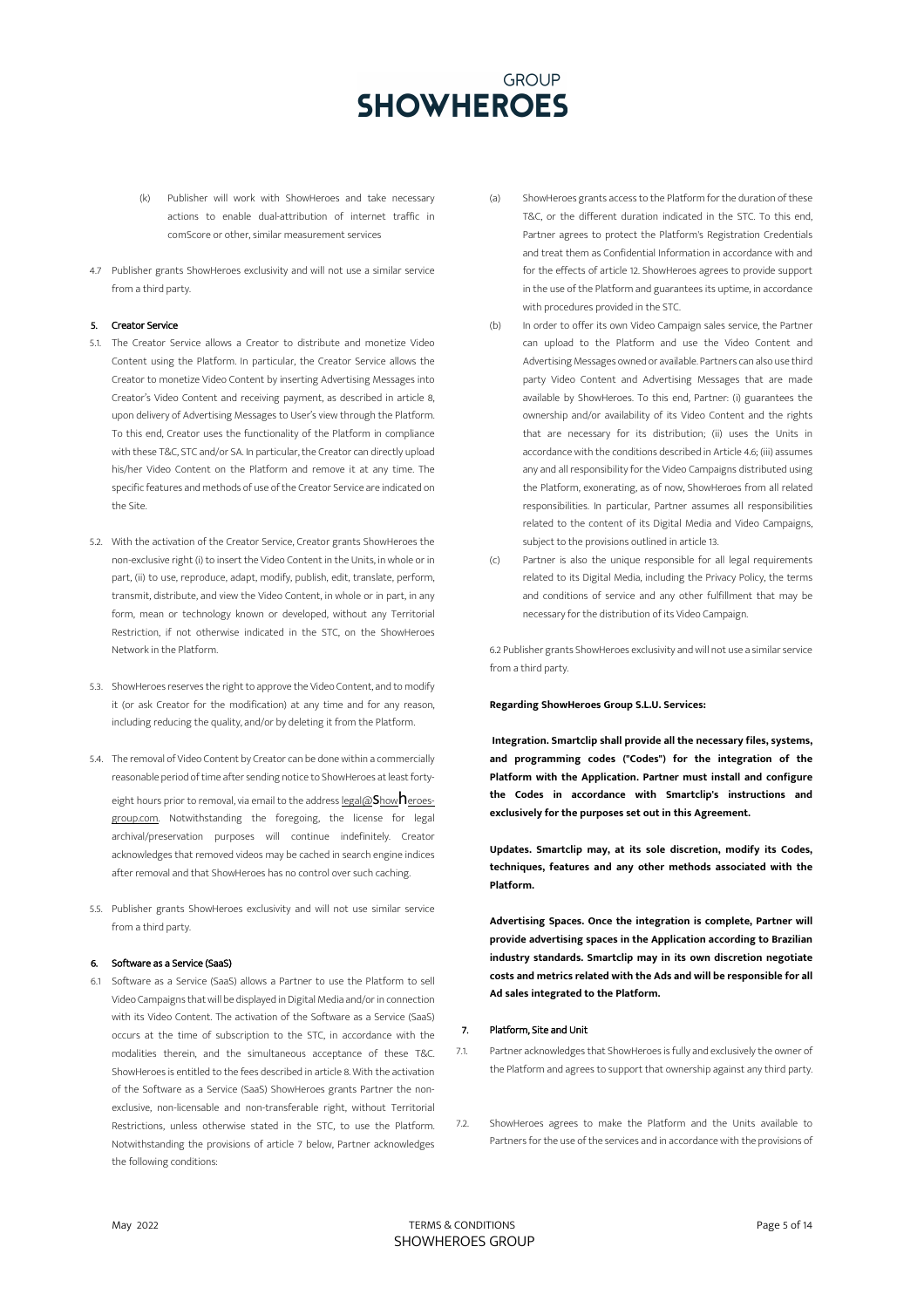- (k) Publisher will work with ShowHeroes and take necessary actions to enable dual-attribution of internet traffic in comScore or other, similar measurement services
- 4.7 Publisher grants ShowHeroes exclusivity and will not use a similar service from a third party.

### 5. Creator Service

- 5.1. The Creator Service allows a Creator to distribute and monetize Video Content using the Platform. In particular, the Creator Service allows the Creator to monetize Video Content by inserting Advertising Messages into Creator's Video Content and receiving payment, as described in article 8, upon delivery of Advertising Messages to User's view through the Platform. To this end, Creator uses the functionality of the Platform in compliance with these T&C, STC and/or SA. In particular, the Creator can directly upload his/her Video Content on the Platform and remove it at any time. The specific features and methods of use of the Creator Service are indicated on the Site.
- 5.2. With the activation of the Creator Service, Creator grants ShowHeroes the non-exclusive right (i) to insert the Video Content in the Units, in whole or in part, (ii) to use, reproduce, adapt, modify, publish, edit, translate, perform, transmit, distribute, and view the Video Content, in whole or in part, in any form, mean or technology known or developed, without any Territorial Restriction, if not otherwise indicated in the STC, on the ShowHeroes Network in the Platform.
- 5.3. ShowHeroes reserves the right to approve the Video Content, and to modify it (or ask Creator for the modification) at any time and for any reason, including reducing the quality, and/or by deleting it from the Platform.
- 5.4. The removal of Video Content by Creator can be done within a commercially reasonable period of time after sending notice to ShowHeroes at least fortyeight hours prior to removal, via email to the address legal@Showneroesgroup.com. Notwithstanding the foregoing, the license for legal archival/preservation purposes will continue indefinitely. Creator acknowledges that removed videos may be cached in search engine indices after removal and that ShowHeroes has no control over such caching.
- 5.5. Publisher grants ShowHeroes exclusivity and will not use similar service from a third party.

### 6. Software as a Service (SaaS)

6.1 Software as a Service (SaaS) allows a Partner to use the Platform to sell Video Campaigns that will be displayed in Digital Media and/or in connection with its Video Content. The activation of the Software as a Service (SaaS) occurs at the time of subscription to the STC, in accordance with the modalities therein, and the simultaneous acceptance of these T&C. ShowHeroes is entitled to the fees described in article 8. With the activation of the Software as a Service (SaaS) ShowHeroes grants Partner the nonexclusive, non-licensable and non-transferable right, without Territorial Restrictions, unless otherwise stated in the STC, to use the Platform. Notwithstanding the provisions of article 7 below, Partner acknowledges the following conditions:

- (a) ShowHeroes grants access to the Platform for the duration of these T&C, or the different duration indicated in the STC. To this end, Partner agrees to protect the Platform's Registration Credentials and treat them as Confidential Information in accordance with and for the effects of article 12. ShowHeroes agrees to provide support in the use of the Platform and guarantees its uptime, in accordance with procedures provided in the STC
- (b) In order to offer its own Video Campaign sales service, the Partner can upload to the Platform and use the Video Content and Advertising Messages owned or available. Partners can also use third party Video Content and Advertising Messages that are made available by ShowHeroes. To this end, Partner: (i) guarantees the ownership and/or availability of its Video Content and the rights that are necessary for its distribution; (ii) uses the Units in accordance with the conditions described in Article 4.6; (iii) assumes any and all responsibility for the Video Campaigns distributed using the Platform, exonerating, as of now, ShowHeroes from all related responsibilities. In particular, Partner assumes all responsibilities related to the content of its Digital Media and Video Campaigns, subject to the provisions outlined in article 13.
- (c) Partner is also the unique responsible for all legal requirements related to its Digital Media, including the Privacy Policy, the terms and conditions of service and any other fulfillment that may be necessary for the distribution of its Video Campaign.

6.2 Publisher grants ShowHeroes exclusivity and will not use a similar service from a third party.

### **Regarding ShowHeroes Group S.L.U. Services:**

**Integration. Smartclip shall provide all the necessary files, systems, and programming codes ("Codes") for the integration of the Platform with the Application. Partner must install and configure the Codes in accordance with Smartclip's instructions and exclusively for the purposes set out in this Agreement.**

**Updates. Smartclip may, at its sole discretion, modify its Codes, techniques, features and any other methods associated with the Platform.**

**Advertising Spaces. Once the integration is complete, Partner will provide advertising spaces in the Application according to Brazilian industry standards. Smartclip may in its own discretion negotiate costs and metrics related with the Ads and will be responsible for all Ad sales integrated to the Platform.**

## 7. Platform, Site and Unit

- 7.1. Partner acknowledges that ShowHeroes is fully and exclusively the owner of the Platform and agrees to support that ownership against any third party.
- 7.2. ShowHeroes agrees to make the Platform and the Units available to Partners for the use of the services and in accordance with the provisions of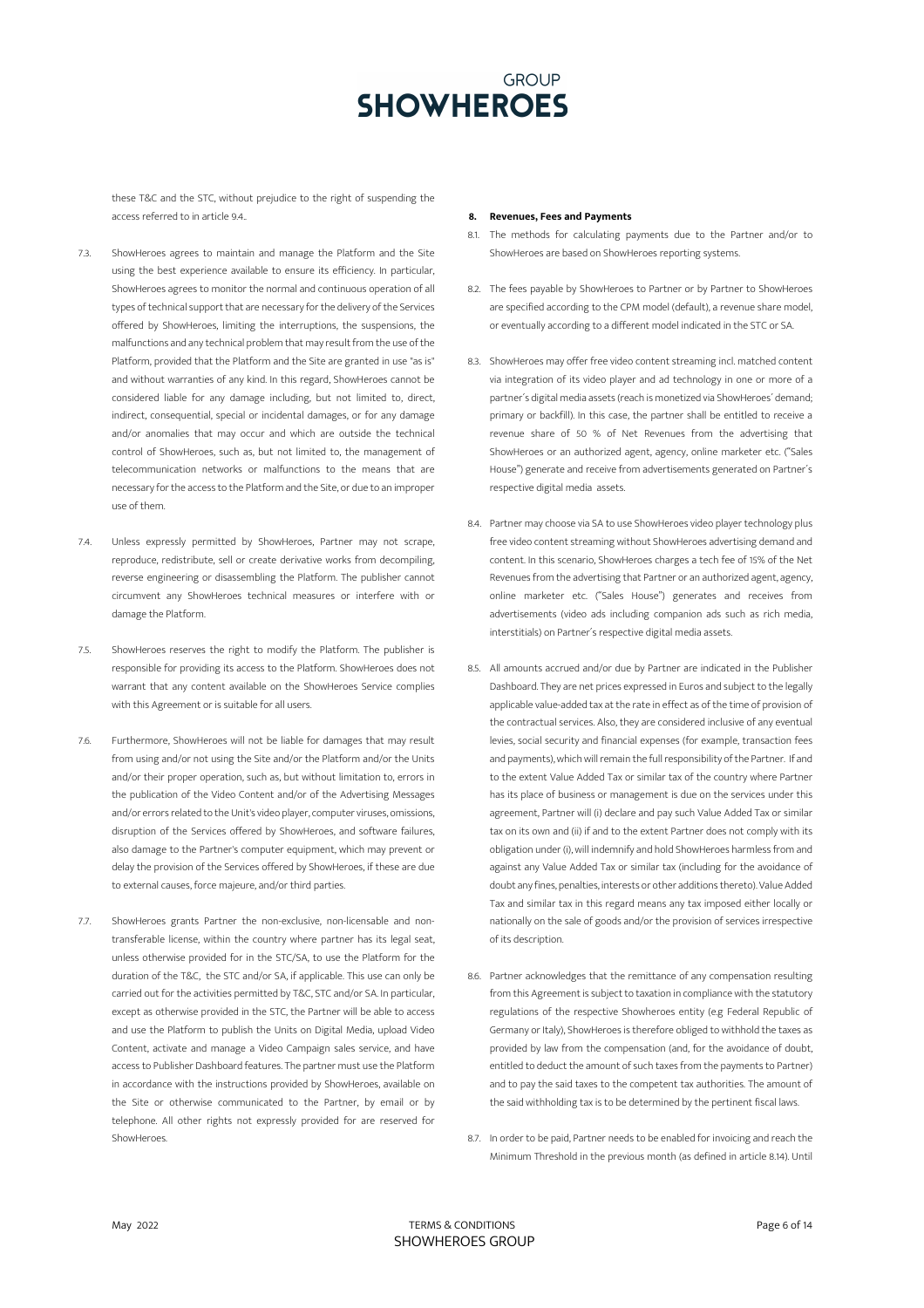these T&C and the STC, without prejudice to the right of suspending the access referred to in article 9.4..

- 7.3. ShowHeroes agrees to maintain and manage the Platform and the Site using the best experience available to ensure its efficiency. In particular, ShowHeroes agrees to monitor the normal and continuous operation of all types of technical support that are necessary for the delivery of the Services offered by ShowHeroes, limiting the interruptions, the suspensions, the malfunctions and any technical problem that may result from the use of the Platform, provided that the Platform and the Site are granted in use "as is" and without warranties of any kind. In this regard, ShowHeroes cannot be considered liable for any damage including, but not limited to, direct, indirect, consequential, special or incidental damages, or for any damage and/or anomalies that may occur and which are outside the technical control of ShowHeroes, such as, but not limited to, the management of telecommunication networks or malfunctions to the means that are necessary for the access to the Platform and the Site, or due to an improper use of them.
- 7.4. Unless expressly permitted by ShowHeroes, Partner may not scrape, reproduce, redistribute, sell or create derivative works from decompiling, reverse engineering or disassembling the Platform. The publisher cannot circumvent any ShowHeroes technical measures or interfere with or damage the Platform.
- 7.5. ShowHeroes reserves the right to modify the Platform. The publisher is responsible for providing its access to the Platform. ShowHeroes does not warrant that any content available on the ShowHeroes Service complies with this Agreement or is suitable for all users.
- 7.6. Furthermore, ShowHeroes will not be liable for damages that may result from using and/or not using the Site and/or the Platform and/or the Units and/or their proper operation, such as, but without limitation to, errors in the publication of the Video Content and/or of the Advertising Messages and/or errors related to the Unit's video player, computer viruses, omissions, disruption of the Services offered by ShowHeroes, and software failures, also damage to the Partner's computer equipment, which may prevent or delay the provision of the Services offered by ShowHeroes, if these are due to external causes, force majeure, and/or third parties.
- 7.7. ShowHeroes grants Partner the non-exclusive, non-licensable and nontransferable license, within the country where partner has its legal seat, unless otherwise provided for in the STC/SA, to use the Platform for the duration of the T&C, the STC and/or SA, if applicable. This use can only be carried out for the activities permitted by T&C, STC and/or SA. In particular, except as otherwise provided in the STC, the Partner will be able to access and use the Platform to publish the Units on Digital Media, upload Video Content, activate and manage a Video Campaign sales service, and have access to Publisher Dashboard features. The partner must use the Platform in accordance with the instructions provided by ShowHeroes, available on the Site or otherwise communicated to the Partner, by email or by telephone. All other rights not expressly provided for are reserved for ShowHeroes.

### **8. Revenues, Fees and Payments**

- 8.1. The methods for calculating payments due to the Partner and/or to ShowHeroes are based on ShowHeroes reporting systems.
- 8.2. The fees payable by ShowHeroes to Partner or by Partner to ShowHeroes are specified according to the CPM model (default), a revenue share model, or eventually according to a different model indicated in the STC or SA.
- 8.3. ShowHeroes may offer free video content streaming incl. matched content via integration of its video player and ad technology in one or more of a partner´s digital media assets(reach is monetized via ShowHeroes´ demand; primary or backfill). In this case, the partner shall be entitled to receive a revenue share of 50 % of Net Revenues from the advertising that ShowHeroes or an authorized agent, agency, online marketer etc. ("Sales House") generate and receive from advertisements generated on Partner´s respective digital media assets.
- 8.4. Partner may choose via SA to use ShowHeroes video player technology plus free video content streaming without ShowHeroes advertising demand and content. In this scenario, ShowHeroes charges a tech fee of 15% of the Net Revenues from the advertising that Partner or an authorized agent, agency, online marketer etc. ("Sales House") generates and receives from advertisements (video ads including companion ads such as rich media, interstitials) on Partner´s respective digital media assets.
- 8.5. All amounts accrued and/or due by Partner are indicated in the Publisher Dashboard. They are net prices expressed in Euros and subject to the legally applicable value-added tax at the rate in effect as of the time of provision of the contractual services. Also, they are considered inclusive of any eventual levies, social security and financial expenses (for example, transaction fees and payments), which will remain the full responsibility of the Partner. If and to the extent Value Added Tax or similar tax of the country where Partner has its place of business or management is due on the services under this agreement, Partner will (i) declare and pay such Value Added Tax or similar tax on its own and (ii) if and to the extent Partner does not comply with its obligation under (i), will indemnify and hold ShowHeroes harmless from and against any Value Added Tax or similar tax (including for the avoidance of doubt any fines, penalties, interests or other additions thereto). Value Added Tax and similar tax in this regard means any tax imposed either locally or nationally on the sale of goods and/or the provision of services irrespective of its description.
- 8.6. Partner acknowledges that the remittance of any compensation resulting from this Agreement is subject to taxation in compliance with the statutory regulations of the respective Showheroes entity (e.g Federal Republic of Germany or Italy), ShowHeroes is therefore obliged to withhold the taxes as provided by law from the compensation (and, for the avoidance of doubt, entitled to deduct the amount of such taxes from the payments to Partner) and to pay the said taxes to the competent tax authorities. The amount of the said withholding tax is to be determined by the pertinent fiscal laws.
- 8.7. In order to be paid, Partner needs to be enabled for invoicing and reach the Minimum Threshold in the previous month (as defined in article 8.14). Until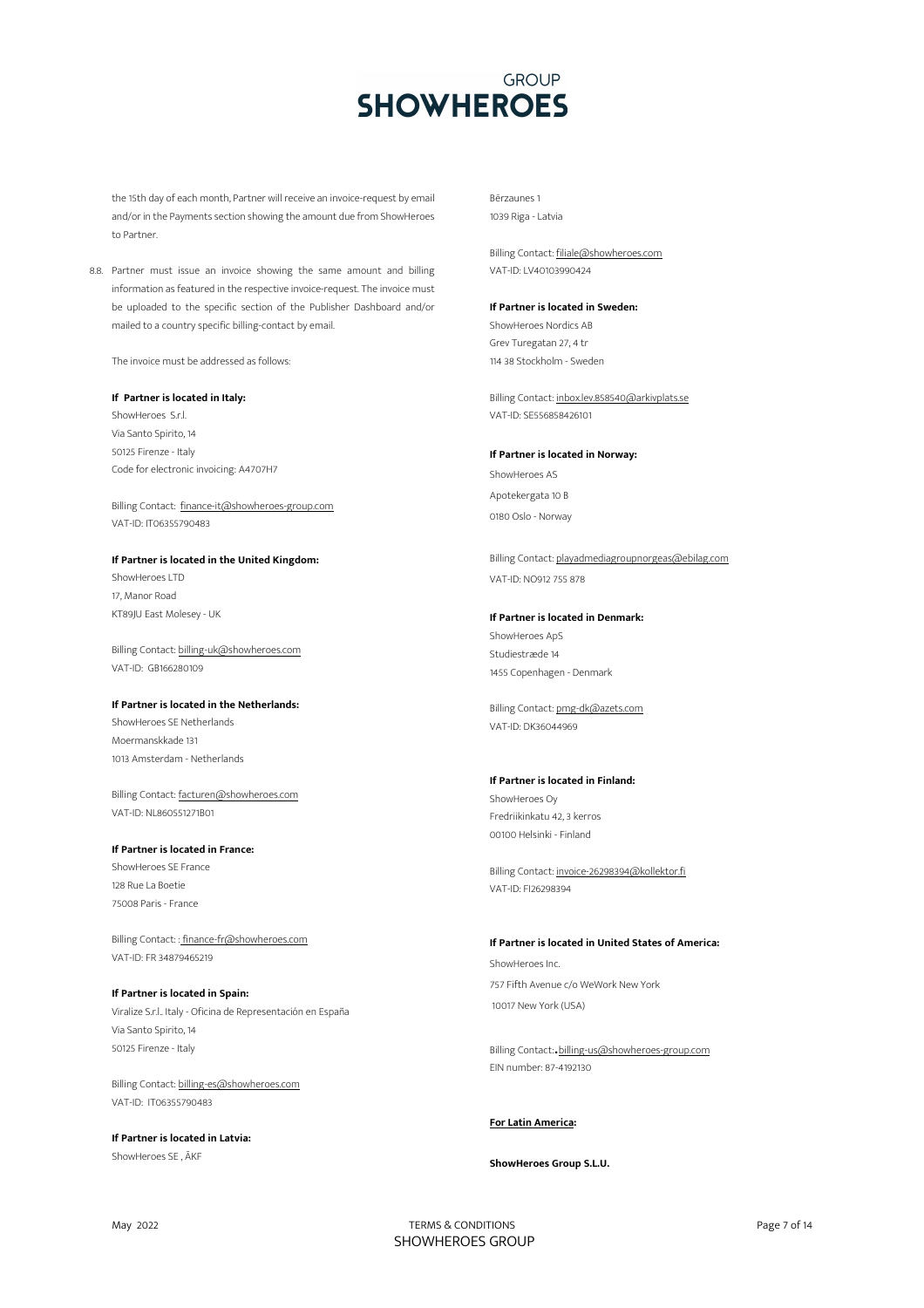the 15th day of each month, Partner will receive an invoice-request by email and/or in the Payments section showing the amount due from ShowHeroes to Partner.

8.8. Partner must issue an invoice showing the same amount and billing information as featured in the respective invoice-request. The invoice must be uploaded to the specific section of the Publisher Dashboard and/or mailed to a country specific billing-contact by email.

The invoice must be addressed as follows:

## **If Partner is located in Italy:**

ShowHeroes S.r.l. Via Santo Spirito, 14 50125 Firenze - Italy Code for electronic invoicing: A4707H7

Billing Contact: finance-it@showheroes-group.com VAT-ID: IT06355790483

## **If Partner is located in the United Kingdom:**

ShowHeroes LTD 17, Manor Road KT89JU East Molesey - UK

Billing Contact: billing-uk@showheroes.com VAT-ID: GB166280109

## **If Partner is located in the Netherlands:**

ShowHeroes SE Netherlands Moermanskkade 131 1013 Amsterdam - Netherlands

Billing Contact: facturen@showheroes.com VAT-ID: NL860551271B01

## **If Partner is located in France:**

ShowHeroes SE France 128 Rue La Boetie 75008 Paris - France

Billing Contact: : finance-fr@showheroes.com VAT-ID: FR 34879465219

**If Partner is located in Spain:** Viralize S.r.l.. Italy - Oficina de Representación en España Via Santo Spirito, 14 50125 Firenze - Italy

Billing Contact: billing-es@showheroes.com VAT-ID: IT06355790483

**If Partner is located in Latvia:** ShowHeroes SE , ĀKF

Bērzaunes 1 1039 Riga - Latvia

Billing Contact: filiale@showheroes.com VAT-ID: LV40103990424

## **If Partner is located in Sweden:**

ShowHeroes Nordics AB Grev Turegatan 27, 4 tr 114 38 Stockholm - Sweden

Billing Contact: inbox.lev.858540@arkivplats.se VAT-ID: SE556858426101

## **If Partner is located in Norway:**

ShowHeroes AS Apotekergata 10 B 0180 Oslo - Norway

Billing Contact: playadmediagroupnorgeas@ebilag.com VAT-ID: NO912 755 878

### **If Partner is located in Denmark:**

ShowHeroes ApS Studiestræde 14 1455 Copenhagen - Denmark

Billing Contact: pmg-dk@azets.com VAT-ID: DK36044969

## **If Partner is located in Finland:**

ShowHeroes Oy Fredriikinkatu 42, 3 kerros 00100 Helsinki - Finland

Billing Contact: invoice-26298394@kollektor.fi VAT-ID: FI26298394

## **If Partner is located in United States of America:**

ShowHeroes Inc. 757 Fifth Avenue c/o WeWork New York 10017 New York (USA)

Billing Contact:.billing-us@showheroes-group.com EIN number: 87-4192130

## **For Latin America:**

## **ShowHeroes Group S.L.U.**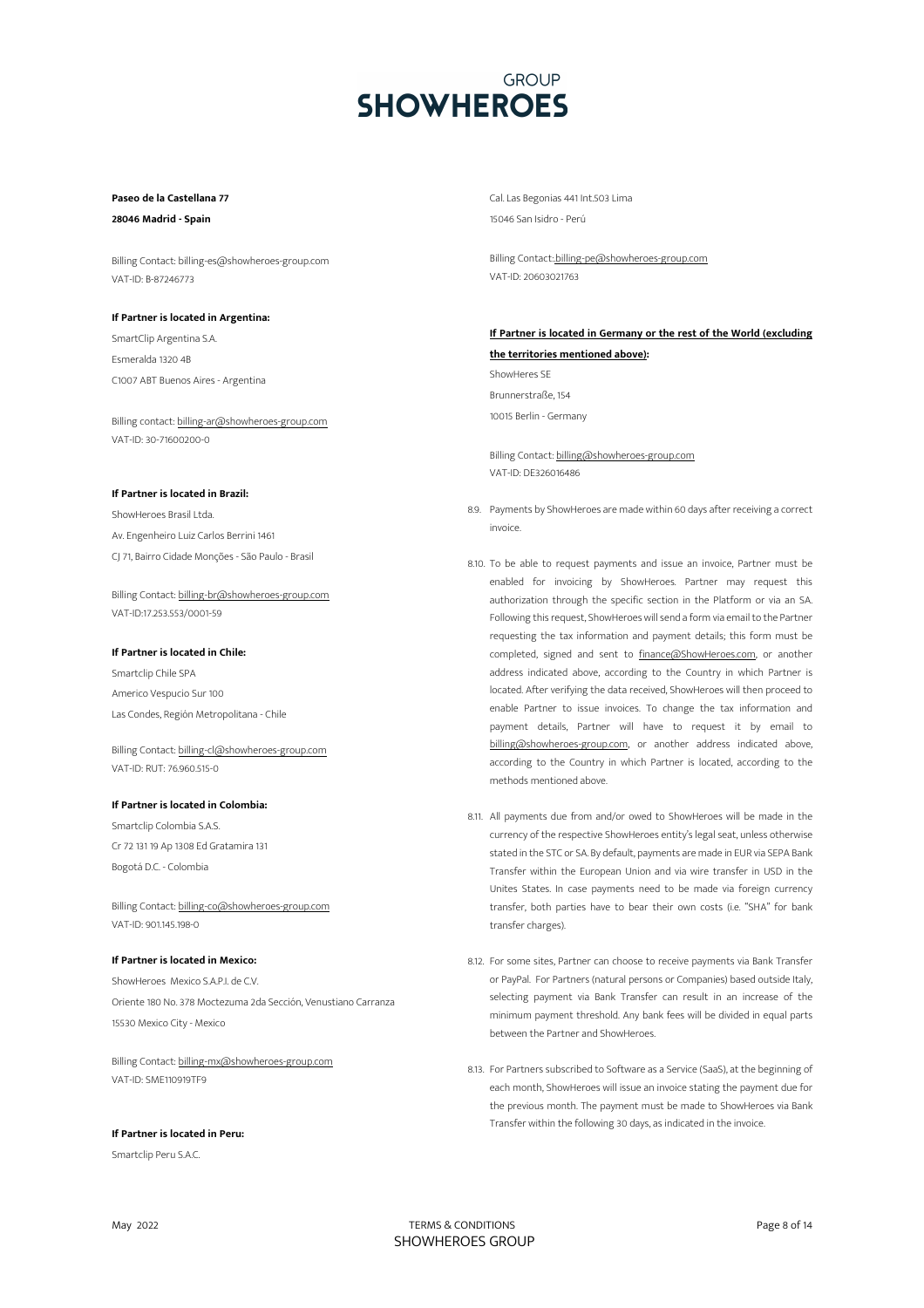## **Paseo de la Castellana 77**

**28046 Madrid - Spain**

Billing Contact: billing-es@showheroes-group.com VAT-ID: B-87246773

## **If Partner is located in Argentina:**

SmartClip Argentina S.A. Esmeralda 1320 4B C1007 ABT Buenos Aires - Argentina

Billing contact: billing-ar@showheroes-group.com VAT-ID: 30-71600200-0

## **If Partner is located in Brazil:**

ShowHeroes Brasil Ltda. Av. Engenheiro Luiz Carlos Berrini 1461 CJ 71, Bairro Cidade Monções - São Paulo - Brasil

Billing Contact: billing-br@showheroes-group.com VAT-ID:17.253.553/0001-59

## **If Partner is located in Chile:**

Smartclip Chile SPA Americo Vespucio Sur 100 Las Condes, Región Metropolitana - Chile

Billing Contact: billing-cl@showheroes-group.com VAT-ID: RUT: 76.960.515-0

## **If Partner is located in Colombia:**

Smartclip Colombia S.A.S. Cr 72 131 19 Ap 1308 Ed Gratamira 131 Bogotá D.C. - Colombia

Billing Contact: billing-co@showheroes-group.com VAT-ID: 901.145.198-0

## **If Partner is located in Mexico:**

ShowHeroes Mexico S.A.P.I. de C.V. Oriente 180 No. 378 Moctezuma 2da Sección, Venustiano Carranza 15530 Mexico City - Mexico

Billing Contact: billing-mx@showheroes-group.com VAT-ID: SME110919TF9

## **If Partner is located in Peru:**

Smartclip Peru S.A.C.

Cal. Las Begonias 441 Int.503 Lima 15046 San Isidro - Perú

Billing Contact:.billing-pe@showheroes-group.com VAT-ID: 20603021763

## **If Partner is located in Germany or the rest of the World (excluding the territories mentioned above):**

ShowHeres SE Brunnerstraße, 154

10015 Berlin - Germany

Billing Contact: billing@showheroes-group.com VAT-ID: DE326016486

- 8.9. Payments by ShowHeroes are made within 60 days after receiving a correct invoice.
- 8.10. To be able to request payments and issue an invoice, Partner must be enabled for invoicing by ShowHeroes. Partner may request this authorization through the specific section in the Platform or via an SA. Following this request, ShowHeroes will send a form via email to the Partner requesting the tax information and payment details; this form must be completed, signed and sent to finance@ShowHeroes.com, or another address indicated above, according to the Country in which Partner is located. After verifying the data received, ShowHeroes will then proceed to enable Partner to issue invoices. To change the tax information and payment details, Partner will have to request it by email to billing@showheroes-group.com, or another address indicated above, according to the Country in which Partner is located, according to the methods mentioned above.
- 8.11. All payments due from and/or owed to ShowHeroes will be made in the currency of the respective ShowHeroes entity's legal seat, unless otherwise stated in the STC or SA. By default, payments are made in EUR via SEPA Bank Transfer within the European Union and via wire transfer in USD in the Unites States. In case payments need to be made via foreign currency transfer, both parties have to bear their own costs (i.e. "SHA" for bank transfer charges).
- 8.12. For some sites, Partner can choose to receive payments via Bank Transfer or PayPal. For Partners (natural persons or Companies) based outside Italy, selecting payment via Bank Transfer can result in an increase of the minimum payment threshold. Any bank fees will be divided in equal parts between the Partner and ShowHeroes.
- 8.13. For Partners subscribed to Software as a Service (SaaS), at the beginning of each month, ShowHeroes will issue an invoice stating the payment due for the previous month. The payment must be made to ShowHeroes via Bank Transfer within the following 30 days, as indicated in the invoice.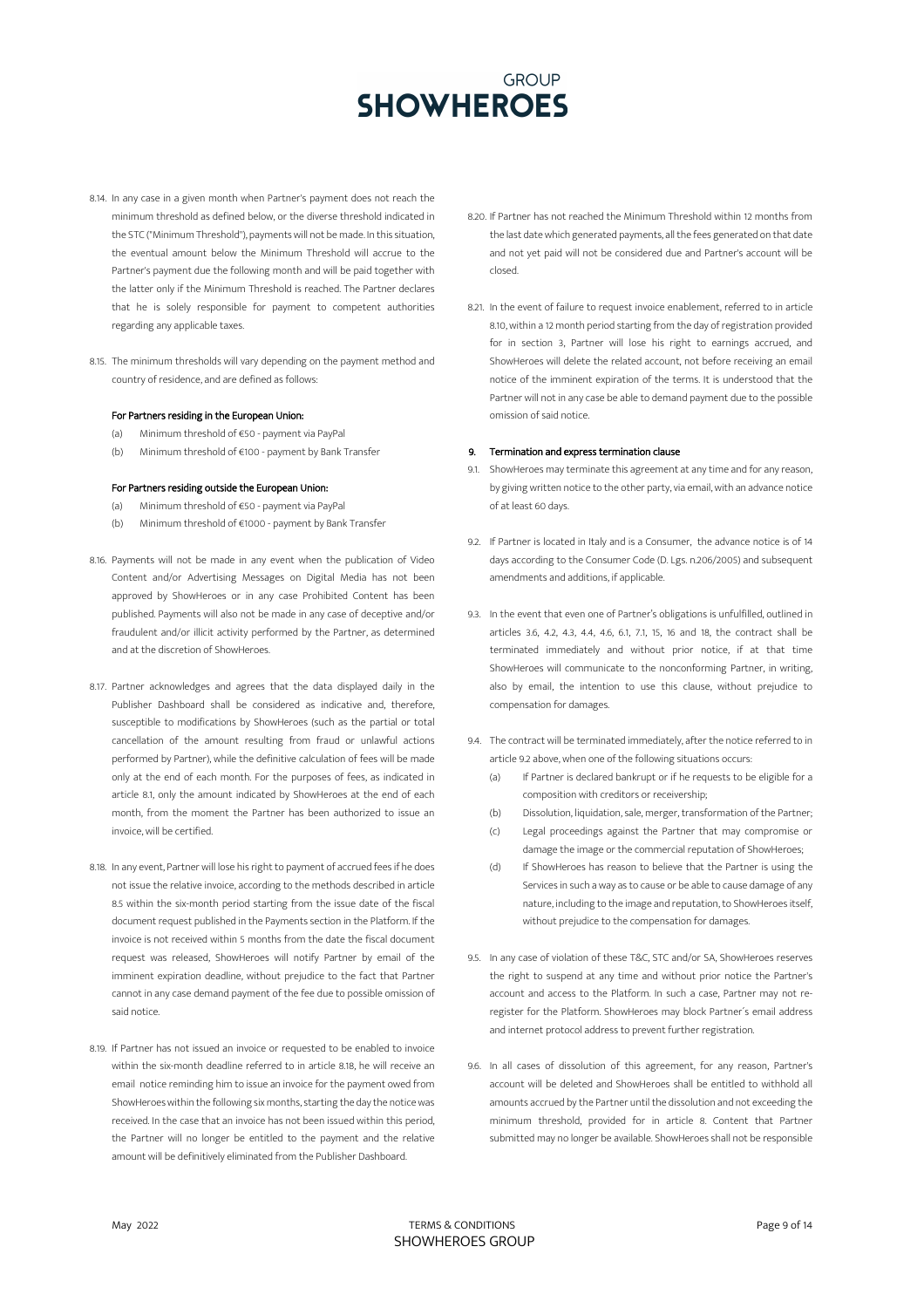- 8.14. In any case in a given month when Partner's payment does not reach the minimum threshold as defined below, or the diverse threshold indicated in the STC ("Minimum Threshold"), payments will not be made. In this situation, the eventual amount below the Minimum Threshold will accrue to the Partner's payment due the following month and will be paid together with the latter only if the Minimum Threshold is reached. The Partner declares that he is solely responsible for payment to competent authorities regarding any applicable taxes.
- 8.15. The minimum thresholds will vary depending on the payment method and country of residence, and are defined as follows:

## For Partners residing in the European Union:

- (a) Minimum threshold of €50 payment via PayPal
- (b) Minimum threshold of €100 payment by Bank Transfer

## For Partners residing outside the European Union:

- (a) Minimum threshold of €50 payment via PayPal
- (b) Minimum threshold of €1000 payment by Bank Transfer
- 8.16. Payments will not be made in any event when the publication of Video Content and/or Advertising Messages on Digital Media has not been approved by ShowHeroes or in any case Prohibited Content has been published. Payments will also not be made in any case of deceptive and/or fraudulent and/or illicit activity performed by the Partner, as determined and at the discretion of ShowHeroes.
- 8.17. Partner acknowledges and agrees that the data displayed daily in the Publisher Dashboard shall be considered as indicative and, therefore, susceptible to modifications by ShowHeroes (such as the partial or total cancellation of the amount resulting from fraud or unlawful actions performed by Partner), while the definitive calculation of fees will be made only at the end of each month. For the purposes of fees, as indicated in article 8.1, only the amount indicated by ShowHeroes at the end of each month, from the moment the Partner has been authorized to issue an invoice, will be certified.
- 8.18. In any event, Partner will lose his right to payment of accrued fees if he does not issue the relative invoice, according to the methods described in article 8.5 within the six-month period starting from the issue date of the fiscal document request published in the Payments section in the Platform. If the invoice is not received within 5 months from the date the fiscal document request was released, ShowHeroes will notify Partner by email of the imminent expiration deadline, without prejudice to the fact that Partner cannot in any case demand payment of the fee due to possible omission of said notice.
- 8.19. If Partner has not issued an invoice or requested to be enabled to invoice within the six-month deadline referred to in article 8.18, he will receive an email notice reminding him to issue an invoice for the payment owed from ShowHeroes within the following six months, starting the day the notice was received. In the case that an invoice has not been issued within this period, the Partner will no longer be entitled to the payment and the relative amount will be definitively eliminated from the Publisher Dashboard.
- 8.20. If Partner has not reached the Minimum Threshold within 12 months from the last date which generated payments, all the fees generated on that date and not yet paid will not be considered due and Partner's account will be closed.
- 8.21. In the event of failure to request invoice enablement, referred to in article 8.10, within a 12 month period starting from the day of registration provided for in section 3, Partner will lose his right to earnings accrued, and ShowHeroes will delete the related account, not before receiving an email notice of the imminent expiration of the terms. It is understood that the Partner will not in any case be able to demand payment due to the possible omission of said notice.

### 9. Termination and express termination clause

- 9.1. ShowHeroes may terminate this agreement at any time and for any reason, by giving written notice to the other party, via email, with an advance notice of at least 60 days.
- 9.2. If Partner is located in Italy and is a Consumer, the advance notice is of 14 days according to the Consumer Code (D. Lgs. n.206/2005) and subsequent amendments and additions, if applicable.
- 9.3. In the event that even one of Partner's obligations is unfulfilled, outlined in articles 3.6, 4.2, 4.3, 4.4, 4.6, 6.1, 7.1, 15, 16 and 18, the contract shall be terminated immediately and without prior notice, if at that time ShowHeroes will communicate to the nonconforming Partner, in writing, also by email, the intention to use this clause, without prejudice to compensation for damages.
- 9.4. The contract will be terminated immediately, after the notice referred to in article 9.2 above, when one of the following situations occurs:
	- (a) If Partner is declared bankrupt or if he requests to be eligible for a composition with creditors or receivership;
	- (b) Dissolution, liquidation, sale, merger, transformation of the Partner;
	- (c) Legal proceedings against the Partner that may compromise or damage the image or the commercial reputation of ShowHeroes;
	- (d) If ShowHeroes has reason to believe that the Partner is using the Services in such a way as to cause or be able to cause damage of any nature, including to the image and reputation, to ShowHeroes itself, without prejudice to the compensation for damages.
- 9.5. In any case of violation of these T&C, STC and/or SA, ShowHeroes reserves the right to suspend at any time and without prior notice the Partner's account and access to the Platform. In such a case, Partner may not reregister for the Platform. ShowHeroes may block Partner´s email address and internet protocol address to prevent further registration.
- 9.6. In all cases of dissolution of this agreement, for any reason, Partner's account will be deleted and ShowHeroes shall be entitled to withhold all amounts accrued by the Partner until the dissolution and not exceeding the minimum threshold, provided for in article 8. Content that Partner submitted may no longer be available. ShowHeroes shall not be responsible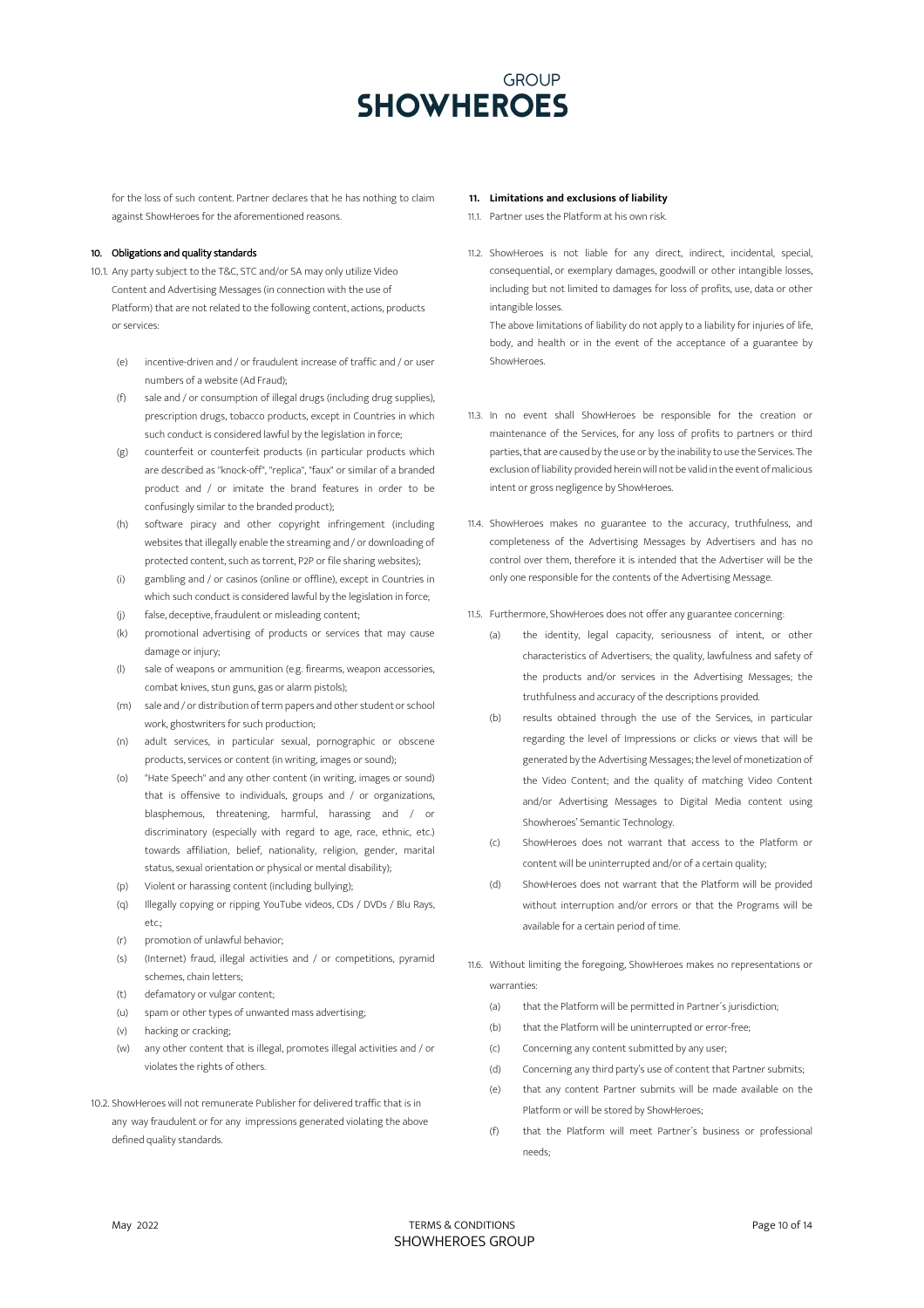for the loss of such content. Partner declares that he has nothing to claim against ShowHeroes for the aforementioned reasons.

## 10. Obligations and quality standards

- 10.1. Any party subject to the T&C, STC and/or SA may only utilize Video Content and Advertising Messages (in connection with the use of Platform) that are not related to the following content, actions, products or services:
	- (e) incentive-driven and / or fraudulent increase of traffic and / or user numbers of a website (Ad Fraud);
	- (f) sale and / or consumption of illegal drugs (including drug supplies), prescription drugs, tobacco products, except in Countries in which such conduct is considered lawful by the legislation in force;
	- (g) counterfeit or counterfeit products (in particular products which are described as "knock-off", "replica", "faux" or similar of a branded product and / or imitate the brand features in order to be confusingly similar to the branded product);
	- (h) software piracy and other copyright infringement (including websites that illegally enable the streaming and / or downloading of protected content, such as torrent, P2P or file sharing websites);
	- (i) gambling and / or casinos (online or offline), except in Countries in which such conduct is considered lawful by the legislation in force;
	- (j) false, deceptive, fraudulent or misleading content;
	- (k) promotional advertising of products or services that may cause damage or injury;
	- (l) sale of weapons or ammunition (e.g. firearms, weapon accessories, combat knives, stun guns, gas or alarm pistols);
	- (m) sale and / or distribution of term papers and other student or school work, ghostwriters for such production;
	- (n) adult services, in particular sexual, pornographic or obscene products, services or content (in writing, images or sound);
	- (o) "Hate Speech" and any other content (in writing, images or sound) that is offensive to individuals, groups and / or organizations, blasphemous, threatening, harmful, harassing and / or discriminatory (especially with regard to age, race, ethnic, etc.) towards affiliation, belief, nationality, religion, gender, marital status, sexual orientation or physical or mental disability);
	- (p) Violent or harassing content (including bullying);
	- (q) Illegally copying or ripping YouTube videos, CDs / DVDs / Blu Rays,  $_{\rho}$ tc.
	- (r) promotion of unlawful behavior;
	- (s) (Internet) fraud, illegal activities and / or competitions, pyramid schemes, chain letters;
	- (t) defamatory or vulgar content;
	- (u) spam or other types of unwanted mass advertising;
	- (v) hacking or cracking;
	- (w) any other content that is illegal, promotes illegal activities and / or violates the rights of others.
- 10.2. ShowHeroes will not remunerate Publisher for delivered traffic that is in any way fraudulent or for any impressions generated violating the above defined quality standards.

## **11. Limitations and exclusions of liability**

- 11.1. Partner uses the Platform at his own risk.
- 11.2. ShowHeroes is not liable for any direct, indirect, incidental, special, consequential, or exemplary damages, goodwill or other intangible losses, including but not limited to damages for loss of profits, use, data or other intangible losses.

The above limitations of liability do not apply to a liability for injuries of life, body, and health or in the event of the acceptance of a guarantee by ShowHeroes.

- 11.3. In no event shall ShowHeroes be responsible for the creation or maintenance of the Services, for any loss of profits to partners or third parties, that are caused by the use or by the inability to use the Services. The exclusion of liability provided herein will not be valid in the event of malicious intent or gross negligence by ShowHeroes.
- 11.4. ShowHeroes makes no guarantee to the accuracy, truthfulness, and completeness of the Advertising Messages by Advertisers and has no control over them, therefore it is intended that the Advertiser will be the only one responsible for the contents of the Advertising Message.
- 11.5. Furthermore, ShowHeroes does not offer any guarantee concerning:
	- (a) the identity, legal capacity, seriousness of intent, or other characteristics of Advertisers; the quality, lawfulness and safety of the products and/or services in the Advertising Messages; the truthfulness and accuracy of the descriptions provided.
	- (b) results obtained through the use of the Services, in particular regarding the level of Impressions or clicks or views that will be generated by the Advertising Messages;the level of monetization of the Video Content; and the quality of matching Video Content and/or Advertising Messages to Digital Media content using Showheroes' Semantic Technology.
	- (c) ShowHeroes does not warrant that access to the Platform or content will be uninterrupted and/or of a certain quality;
	- (d) ShowHeroes does not warrant that the Platform will be provided without interruption and/or errors or that the Programs will be available for a certain period of time.
- 11.6. Without limiting the foregoing, ShowHeroes makes no representations or warranties:
	- (a) that the Platform will be permitted in Partner´s jurisdiction;
	- (b) that the Platform will be uninterrupted or error-free;
	- (c) Concerning any content submitted by any user;
	- (d) Concerning any third party's use of content that Partner submits;
	- (e) that any content Partner submits will be made available on the Platform or will be stored by ShowHeroes;
	- (f) that the Platform will meet Partner´s business or professional needs;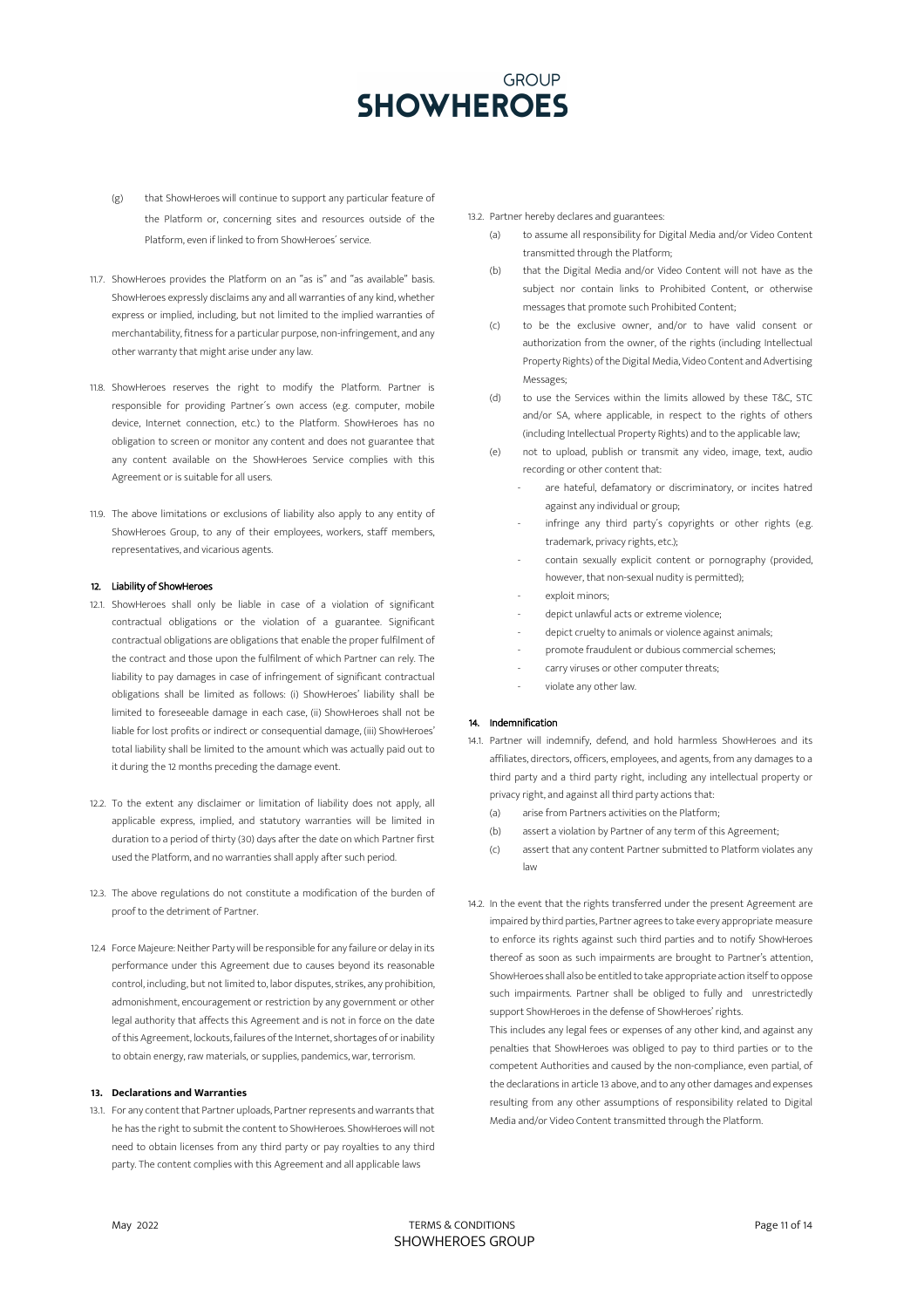- (g) that ShowHeroes will continue to support any particular feature of the Platform or, concerning sites and resources outside of the Platform, even if linked to from ShowHeroes´ service.
- 11.7. ShowHeroes provides the Platform on an "as is" and "as available" basis. ShowHeroes expressly disclaims any and all warranties of any kind, whether express or implied, including, but not limited to the implied warranties of merchantability, fitness for a particular purpose, non-infringement, and any other warranty that might arise under any law.
- 11.8. ShowHeroes reserves the right to modify the Platform. Partner is responsible for providing Partner´s own access (e.g. computer, mobile device, Internet connection, etc.) to the Platform. ShowHeroes has no obligation to screen or monitor any content and does not guarantee that any content available on the ShowHeroes Service complies with this Agreement or is suitable for all users.
- 11.9. The above limitations or exclusions of liability also apply to any entity of ShowHeroes Group, to any of their employees, workers, staff members, representatives, and vicarious agents.

## 12. Liability of ShowHeroes

- 12.1. ShowHeroes shall only be liable in case of a violation of significant contractual obligations or the violation of a guarantee. Significant contractual obligations are obligations that enable the proper fulfilment of the contract and those upon the fulfilment of which Partner can rely. The liability to pay damages in case of infringement of significant contractual obligations shall be limited as follows: (i) ShowHeroes' liability shall be limited to foreseeable damage in each case, (ii) ShowHeroes shall not be liable for lost profits or indirect or consequential damage, (iii) ShowHeroes' total liability shall be limited to the amount which was actually paid out to it during the 12 months preceding the damage event.
- 12.2. To the extent any disclaimer or limitation of liability does not apply, all applicable express, implied, and statutory warranties will be limited in duration to a period of thirty (30) days after the date on which Partner first used the Platform, and no warranties shall apply after such period.
- 12.3. The above regulations do not constitute a modification of the burden of proof to the detriment of Partner.
- 12.4 Force Majeure: Neither Party will be responsible for any failure or delay in its performance under this Agreement due to causes beyond its reasonable control, including, but not limited to, labor disputes, strikes, any prohibition, admonishment, encouragement or restriction by any government or other legal authority that affects this Agreement and is not in force on the date of this Agreement, lockouts, failures of the Internet, shortages of or inability to obtain energy, raw materials, or supplies, pandemics, war, terrorism.

### **13. Declarations and Warranties**

13.1. For any content that Partner uploads, Partner represents and warrants that he has the right to submit the content to ShowHeroes. ShowHeroes will not need to obtain licenses from any third party or pay royalties to any third party. The content complies with this Agreement and all applicable laws

#### 13.2. Partner hereby declares and guarantees:

- to assume all responsibility for Digital Media and/or Video Content transmitted through the Platform;
- (b) that the Digital Media and/or Video Content will not have as the subject nor contain links to Prohibited Content, or otherwise messages that promote such Prohibited Content;
- (c) to be the exclusive owner, and/or to have valid consent or authorization from the owner, of the rights (including Intellectual Property Rights) of the Digital Media, Video Content and Advertising Messages;
- (d) to use the Services within the limits allowed by these T&C, STC and/or SA, where applicable, in respect to the rights of others (including Intellectual Property Rights) and to the applicable law;
- (e) not to upload, publish or transmit any video, image, text, audio recording or other content that:
	- are hateful, defamatory or discriminatory, or incites hatred against any individual or group;
	- infringe any third party's copyrights or other rights (e.g. trademark, privacy rights, etc.);
	- contain sexually explicit content or pornography (provided, however, that non-sexual nudity is permitted);
	- exploit minors:
	- depict unlawful acts or extreme violence;
	- depict cruelty to animals or violence against animals;
	- promote fraudulent or dubious commercial schemes;
	- carry viruses or other computer threats;
	- violate any other law.

## 14. Indemnification

- 14.1. Partner will indemnify, defend, and hold harmless ShowHeroes and its affiliates, directors, officers, employees, and agents, from any damages to a third party and a third party right, including any intellectual property or privacy right, and against all third party actions that:
	- (a) arise from Partners activities on the Platform;
	- (b) assert a violation by Partner of any term of this Agreement;
	- (c) assert that any content Partner submitted to Platform violates any law
- 14.2. In the event that the rights transferred under the present Agreement are impaired by third parties, Partner agrees to take every appropriate measure to enforce its rights against such third parties and to notify ShowHeroes thereof as soon as such impairments are brought to Partner's attention, ShowHeroes shall also be entitled to take appropriate action itself to oppose such impairments. Partner shall be obliged to fully and unrestrictedly support ShowHeroes in the defense of ShowHeroes' rights.

This includes any legal fees or expenses of any other kind, and against any penalties that ShowHeroes was obliged to pay to third parties or to the competent Authorities and caused by the non-compliance, even partial, of the declarations in article 13 above, and to any other damages and expenses resulting from any other assumptions of responsibility related to Digital Media and/or Video Content transmitted through the Platform.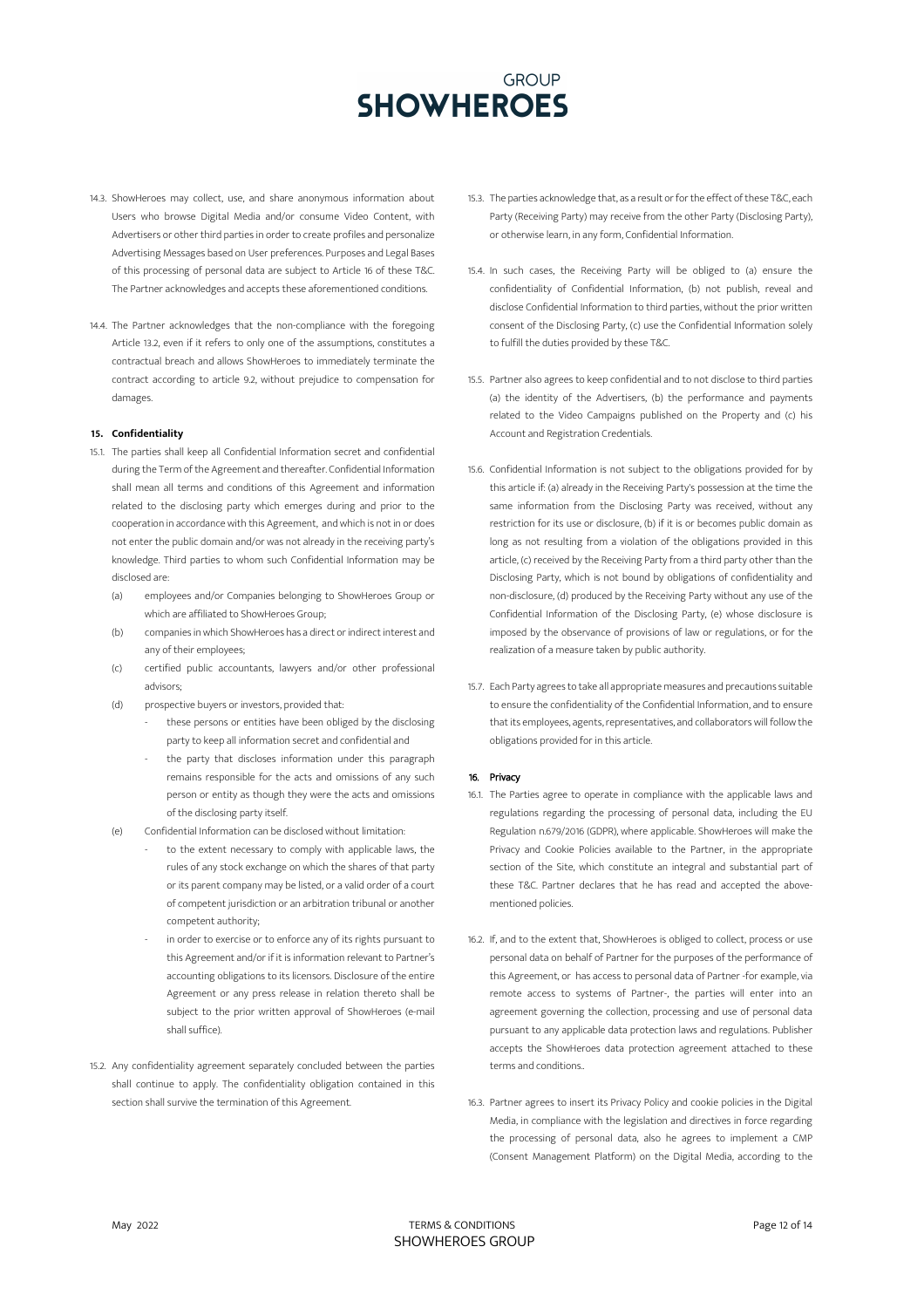- 14.3. ShowHeroes may collect, use, and share anonymous information about Users who browse Digital Media and/or consume Video Content, with Advertisers or other third parties in order to create profiles and personalize Advertising Messages based on User preferences. Purposes and Legal Bases of this processing of personal data are subject to Article 16 of these T&C. The Partner acknowledges and accepts these aforementioned conditions.
- 14.4. The Partner acknowledges that the non-compliance with the foregoing Article 13.2, even if it refers to only one of the assumptions, constitutes a contractual breach and allows ShowHeroes to immediately terminate the contract according to article 9.2, without prejudice to compensation for damages.

## **15. Confidentiality**

- 15.1. The parties shall keep all Confidential Information secret and confidential during the Term of the Agreement and thereafter. Confidential Information shall mean all terms and conditions of this Agreement and information related to the disclosing party which emerges during and prior to the cooperation in accordance with this Agreement, and which is not in or does not enter the public domain and/or was not already in the receiving party's knowledge. Third parties to whom such Confidential Information may be disclosed are:
	- (a) employees and/or Companies belonging to ShowHeroes Group or which are affiliated to ShowHeroes Group;
	- (b) companies in which ShowHeroes has a direct or indirect interest and any of their employees;
	- (c) certified public accountants, lawyers and/or other professional advisors;
	- (d) prospective buyers or investors, provided that:
		- these persons or entities have been obliged by the disclosing party to keep all information secret and confidential and
		- the party that discloses information under this paragraph remains responsible for the acts and omissions of any such person or entity as though they were the acts and omissions of the disclosing party itself.
	- (e) Confidential Information can be disclosed without limitation:
		- to the extent necessary to comply with applicable laws, the rules of any stock exchange on which the shares of that party or its parent company may be listed, or a valid order of a court of competent jurisdiction or an arbitration tribunal or another competent authority;
		- in order to exercise or to enforce any of its rights pursuant to this Agreement and/or if it is information relevant to Partner's accounting obligations to its licensors. Disclosure of the entire Agreement or any press release in relation thereto shall be subject to the prior written approval of ShowHeroes (e-mail shall suffice).
- 15.2. Any confidentiality agreement separately concluded between the parties shall continue to apply. The confidentiality obligation contained in this section shall survive the termination of this Agreement.
- 15.3. The parties acknowledge that, as a result or for the effect of these T&C, each Party (Receiving Party) may receive from the other Party (Disclosing Party), or otherwise learn, in any form, Confidential Information.
- 15.4. In such cases, the Receiving Party will be obliged to (a) ensure the confidentiality of Confidential Information, (b) not publish, reveal and disclose Confidential Information to third parties, without the prior written consent of the Disclosing Party, (c) use the Confidential Information solely to fulfill the duties provided by these T&C.
- 15.5. Partner also agrees to keep confidential and to not disclose to third parties (a) the identity of the Advertisers, (b) the performance and payments related to the Video Campaigns published on the Property and (c) his Account and Registration Credentials.
- 15.6. Confidential Information is not subject to the obligations provided for by this article if: (a) already in the Receiving Party's possession at the time the same information from the Disclosing Party was received, without any restriction for its use or disclosure, (b) if it is or becomes public domain as long as not resulting from a violation of the obligations provided in this article, (c) received by the Receiving Party from a third party other than the Disclosing Party, which is not bound by obligations of confidentiality and non-disclosure, (d) produced by the Receiving Party without any use of the Confidential Information of the Disclosing Party, (e) whose disclosure is imposed by the observance of provisions of law or regulations, or for the realization of a measure taken by public authority.
- 15.7. Each Party agrees to take all appropriate measures and precautions suitable to ensure the confidentiality of the Confidential Information, and to ensure that its employees, agents, representatives, and collaborators will follow the obligations provided for in this article.

## 16. Privacy

- 16.1. The Parties agree to operate in compliance with the applicable laws and regulations regarding the processing of personal data, including the EU Regulation n.679/2016 (GDPR), where applicable. ShowHeroes will make the Privacy and Cookie Policies available to the Partner, in the appropriate section of the Site, which constitute an integral and substantial part of these T&C. Partner declares that he has read and accepted the abovementioned policies.
- 16.2. If, and to the extent that, ShowHeroes is obliged to collect, process or use personal data on behalf of Partner for the purposes of the performance of this Agreement, or has access to personal data of Partner -for example, via remote access to systems of Partner-, the parties will enter into an agreement governing the collection, processing and use of personal data pursuant to any applicable data protection laws and regulations. Publisher accepts the ShowHeroes data protection agreement attached to these terms and conditions..
- 16.3. Partner agrees to insert its Privacy Policy and cookie policies in the Digital Media, in compliance with the legislation and directives in force regarding the processing of personal data, also he agrees to implement a CMP (Consent Management Platform) on the Digital Media, according to the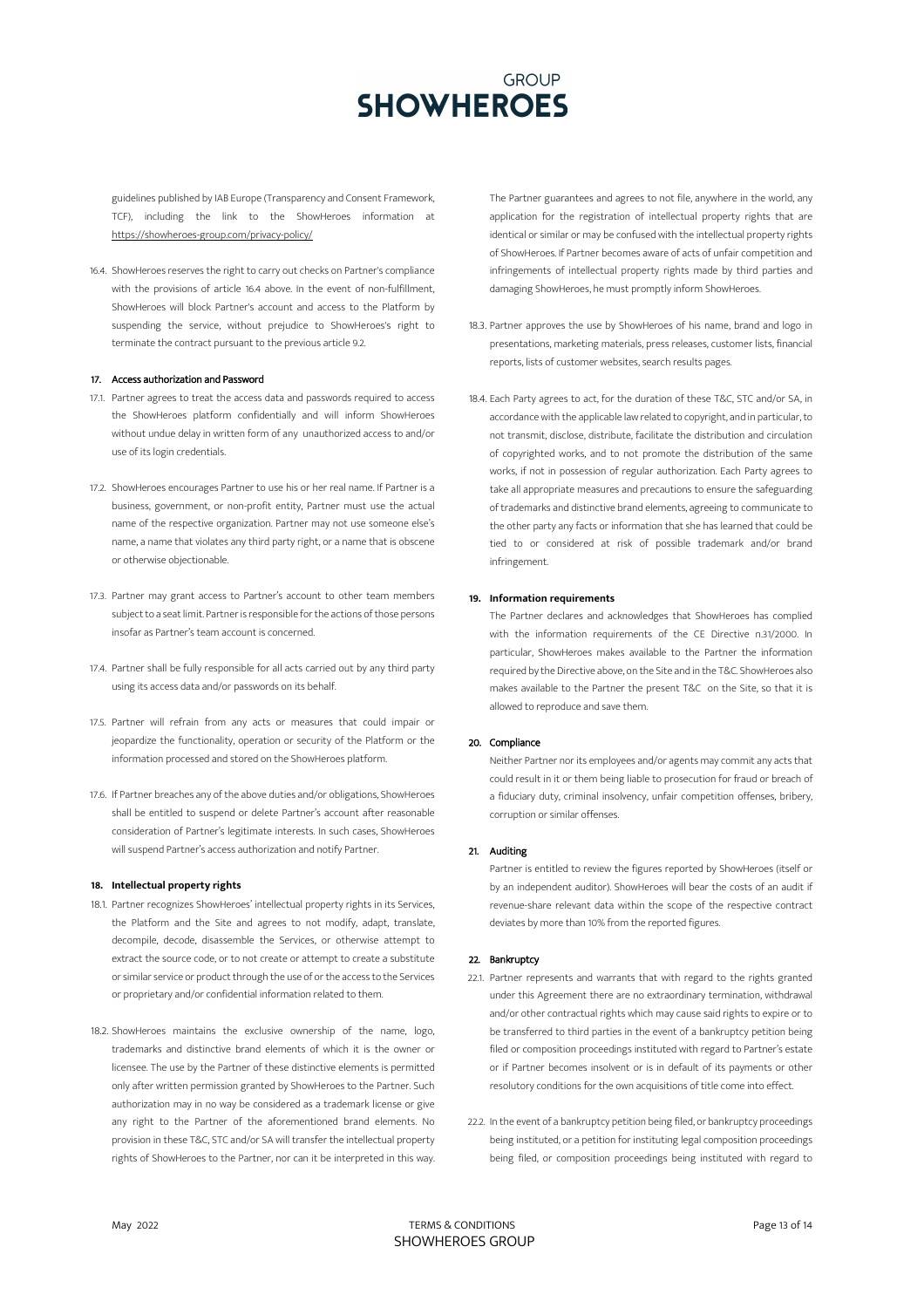guidelines published by IAB Europe (Transparency and Consent Framework, TCF), including the link to the ShowHeroes information at https://showheroes-

16.4. ShowHeroes reserves the right to carry out checks on Partner's compliance with the provisions of article 16.4 above. In the event of non-fulfillment, ShowHeroes will block Partner's account and access to the Platform by suspending the service, without prejudice to ShowHeroes's right to terminate the contract pursuant to the previous article 9.2.

### 17. Access authorization and Password

- 17.1. Partner agrees to treat the access data and passwords required to access the ShowHeroes platform confidentially and will inform ShowHeroes without undue delay in written form of any unauthorized access to and/or use of its login credentials.
- 17.2. ShowHeroes encourages Partner to use his or her real name. If Partner is a business, government, or non-profit entity, Partner must use the actual name of the respective organization. Partner may not use someone else's name, a name that violates any third party right, or a name that is obscene or otherwise objectionable.
- 17.3. Partner may grant access to Partner's account to other team members subject to a seat limit. Partner is responsible for the actions of those persons insofar as Partner's team account is concerned.
- 17.4. Partner shall be fully responsible for all acts carried out by any third party using its access data and/or passwords on its behalf.
- 17.5. Partner will refrain from any acts or measures that could impair or jeopardize the functionality, operation or security of the Platform or the information processed and stored on the ShowHeroes platform.
- 17.6. If Partner breaches any of the above duties and/or obligations, ShowHeroes shall be entitled to suspend or delete Partner's account after reasonable consideration of Partner's legitimate interests. In such cases, ShowHeroes will suspend Partner's access authorization and notify Partner.

### **18. Intellectual property rights**

- 18.1. Partner recognizes ShowHeroes' intellectual property rights in its Services, the Platform and the Site and agrees to not modify, adapt, translate, decompile, decode, disassemble the Services, or otherwise attempt to extract the source code, or to not create or attempt to create a substitute or similar service or product through the use of or the access to the Services or proprietary and/or confidential information related to them.
- 18.2. ShowHeroes maintains the exclusive ownership of the name, logo, trademarks and distinctive brand elements of which it is the owner or licensee. The use by the Partner of these distinctive elements is permitted only after written permission granted by ShowHeroes to the Partner. Such authorization may in no way be considered as a trademark license or give any right to the Partner of the aforementioned brand elements. No provision in these T&C, STC and/or SA will transfer the intellectual property rights of ShowHeroes to the Partner, nor can it be interpreted in this way.

The Partner guarantees and agrees to not file, anywhere in the world, any application for the registration of intellectual property rights that are identical or similar or may be confused with the intellectual property rights of ShowHeroes. If Partner becomes aware of acts of unfair competition and infringements of intellectual property rights made by third parties and damaging ShowHeroes, he must promptly inform ShowHeroes.

- 18.3. Partner approves the use by ShowHeroes of his name, brand and logo in presentations, marketing materials, press releases, customer lists, financial reports, lists of customer websites, search results pages.
- 18.4. Each Party agrees to act, for the duration of these T&C, STC and/or SA, in accordance with the applicable law related to copyright, and in particular, to not transmit, disclose, distribute, facilitate the distribution and circulation of copyrighted works, and to not promote the distribution of the same works, if not in possession of regular authorization. Each Party agrees to take all appropriate measures and precautions to ensure the safeguarding of trademarks and distinctive brand elements, agreeing to communicate to the other party any facts or information that she has learned that could be tied to or considered at risk of possible trademark and/or brand infringement.

### **19. Information requirements**

The Partner declares and acknowledges that ShowHeroes has complied with the information requirements of the CE Directive n.31/2000. In particular, ShowHeroes makes available to the Partner the information required by the Directive above, on the Site and in the T&C. ShowHeroes also makes available to the Partner the present T&C on the Site, so that it is allowed to reproduce and save them.

## 20. Compliance

Neither Partner nor its employees and/or agents may commit any acts that could result in it or them being liable to prosecution for fraud or breach of a fiduciary duty, criminal insolvency, unfair competition offenses, bribery, corruption or similar offenses.

## 21. Auditing

Partner is entitled to review the figures reported by ShowHeroes (itself or by an independent auditor). ShowHeroes will bear the costs of an audit if revenue-share relevant data within the scope of the respective contract deviates by more than 10% from the reported figures.

## 22. Bankruptcy

- 22.1. Partner represents and warrants that with regard to the rights granted under this Agreement there are no extraordinary termination, withdrawal and/or other contractual rights which may cause said rights to expire or to be transferred to third parties in the event of a bankruptcy petition being filed or composition proceedings instituted with regard to Partner's estate or if Partner becomes insolvent or is in default of its payments or other resolutory conditions for the own acquisitions of title come into effect.
- 22.2. In the event of a bankruptcy petition being filed, or bankruptcy proceedings being instituted, or a petition for instituting legal composition proceedings being filed, or composition proceedings being instituted with regard to